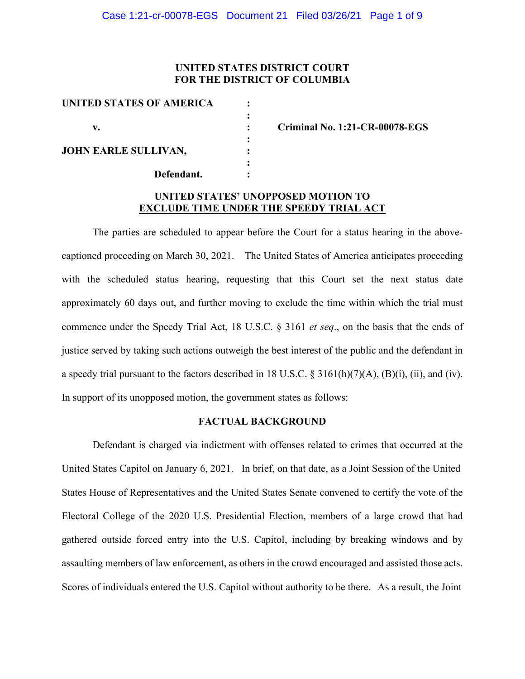## **UNITED STATES DISTRICT COURT FOR THE DISTRICT OF COLUMBIA**

| UNITED STATES OF AMERICA    |  |
|-----------------------------|--|
|                             |  |
| v.                          |  |
|                             |  |
| <b>JOHN EARLE SULLIVAN,</b> |  |
|                             |  |
| Defendant.                  |  |
|                             |  |

**v. : Criminal No. 1:21-CR-00078-EGS** 

## **UNITED STATES' UNOPPOSED MOTION TO EXCLUDE TIME UNDER THE SPEEDY TRIAL ACT**

The parties are scheduled to appear before the Court for a status hearing in the abovecaptioned proceeding on March 30, 2021. The United States of America anticipates proceeding with the scheduled status hearing, requesting that this Court set the next status date approximately 60 days out, and further moving to exclude the time within which the trial must commence under the Speedy Trial Act, 18 U.S.C. § 3161 *et seq*., on the basis that the ends of justice served by taking such actions outweigh the best interest of the public and the defendant in a speedy trial pursuant to the factors described in 18 U.S.C.  $\S$  3161(h)(7)(A), (B)(i), (ii), and (iv). In support of its unopposed motion, the government states as follows:

#### **FACTUAL BACKGROUND**

Defendant is charged via indictment with offenses related to crimes that occurred at the United States Capitol on January 6, 2021. In brief, on that date, as a Joint Session of the United States House of Representatives and the United States Senate convened to certify the vote of the Electoral College of the 2020 U.S. Presidential Election, members of a large crowd that had gathered outside forced entry into the U.S. Capitol, including by breaking windows and by assaulting members of law enforcement, as others in the crowd encouraged and assisted those acts. Scores of individuals entered the U.S. Capitol without authority to be there. As a result, the Joint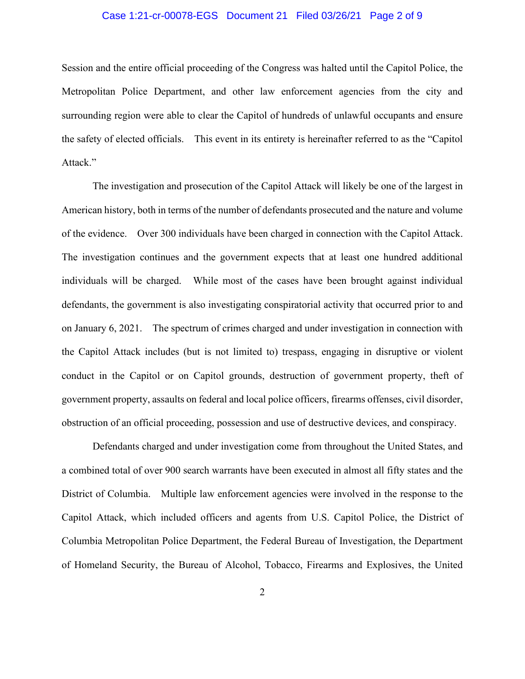### Case 1:21-cr-00078-EGS Document 21 Filed 03/26/21 Page 2 of 9

Session and the entire official proceeding of the Congress was halted until the Capitol Police, the Metropolitan Police Department, and other law enforcement agencies from the city and surrounding region were able to clear the Capitol of hundreds of unlawful occupants and ensure the safety of elected officials. This event in its entirety is hereinafter referred to as the "Capitol Attack."

The investigation and prosecution of the Capitol Attack will likely be one of the largest in American history, both in terms of the number of defendants prosecuted and the nature and volume of the evidence. Over 300 individuals have been charged in connection with the Capitol Attack. The investigation continues and the government expects that at least one hundred additional individuals will be charged. While most of the cases have been brought against individual defendants, the government is also investigating conspiratorial activity that occurred prior to and on January 6, 2021. The spectrum of crimes charged and under investigation in connection with the Capitol Attack includes (but is not limited to) trespass, engaging in disruptive or violent conduct in the Capitol or on Capitol grounds, destruction of government property, theft of government property, assaults on federal and local police officers, firearms offenses, civil disorder, obstruction of an official proceeding, possession and use of destructive devices, and conspiracy.

Defendants charged and under investigation come from throughout the United States, and a combined total of over 900 search warrants have been executed in almost all fifty states and the District of Columbia. Multiple law enforcement agencies were involved in the response to the Capitol Attack, which included officers and agents from U.S. Capitol Police, the District of Columbia Metropolitan Police Department, the Federal Bureau of Investigation, the Department of Homeland Security, the Bureau of Alcohol, Tobacco, Firearms and Explosives, the United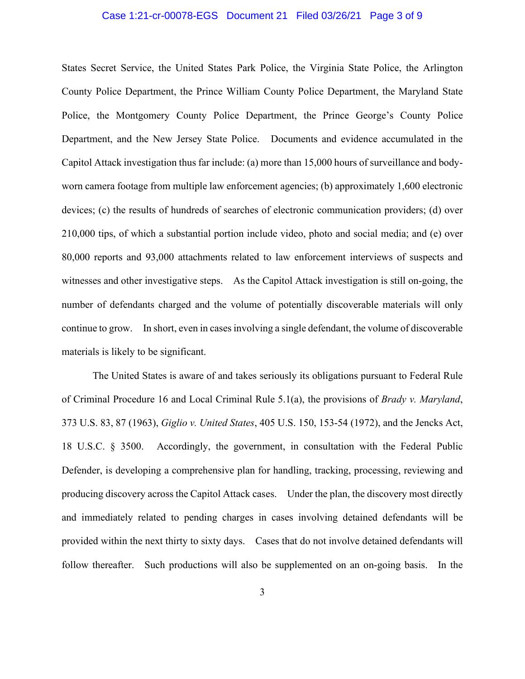#### Case 1:21-cr-00078-EGS Document 21 Filed 03/26/21 Page 3 of 9

States Secret Service, the United States Park Police, the Virginia State Police, the Arlington County Police Department, the Prince William County Police Department, the Maryland State Police, the Montgomery County Police Department, the Prince George's County Police Department, and the New Jersey State Police. Documents and evidence accumulated in the Capitol Attack investigation thus far include: (a) more than 15,000 hours of surveillance and bodyworn camera footage from multiple law enforcement agencies; (b) approximately 1,600 electronic devices; (c) the results of hundreds of searches of electronic communication providers; (d) over 210,000 tips, of which a substantial portion include video, photo and social media; and (e) over 80,000 reports and 93,000 attachments related to law enforcement interviews of suspects and witnesses and other investigative steps. As the Capitol Attack investigation is still on-going, the number of defendants charged and the volume of potentially discoverable materials will only continue to grow. In short, even in cases involving a single defendant, the volume of discoverable materials is likely to be significant.

The United States is aware of and takes seriously its obligations pursuant to Federal Rule of Criminal Procedure 16 and Local Criminal Rule 5.1(a), the provisions of *Brady v. Maryland*, 373 U.S. 83, 87 (1963), *Giglio v. United States*, 405 U.S. 150, 153-54 (1972), and the Jencks Act, 18 U.S.C. § 3500. Accordingly, the government, in consultation with the Federal Public Defender, is developing a comprehensive plan for handling, tracking, processing, reviewing and producing discovery across the Capitol Attack cases. Under the plan, the discovery most directly and immediately related to pending charges in cases involving detained defendants will be provided within the next thirty to sixty days. Cases that do not involve detained defendants will follow thereafter. Such productions will also be supplemented on an on-going basis. In the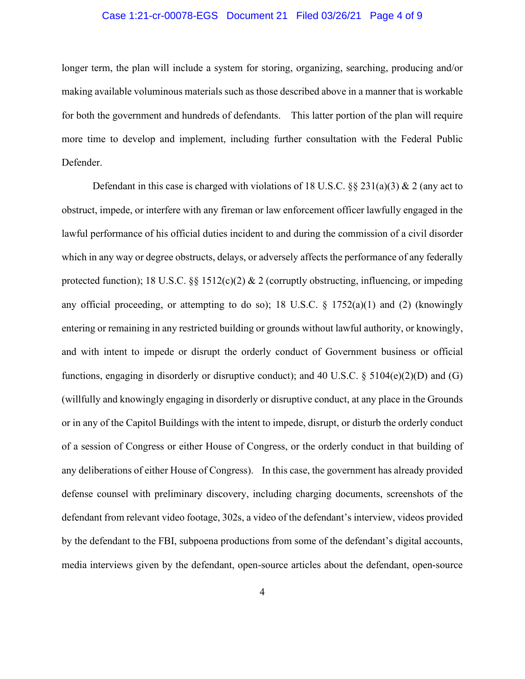### Case 1:21-cr-00078-EGS Document 21 Filed 03/26/21 Page 4 of 9

longer term, the plan will include a system for storing, organizing, searching, producing and/or making available voluminous materials such as those described above in a manner that is workable for both the government and hundreds of defendants. This latter portion of the plan will require more time to develop and implement, including further consultation with the Federal Public Defender.

Defendant in this case is charged with violations of 18 U.S.C.  $\S 231(a)(3) \& 2$  (any act to obstruct, impede, or interfere with any fireman or law enforcement officer lawfully engaged in the lawful performance of his official duties incident to and during the commission of a civil disorder which in any way or degree obstructs, delays, or adversely affects the performance of any federally protected function); 18 U.S.C. §§ 1512(c)(2) & 2 (corruptly obstructing, influencing, or impeding any official proceeding, or attempting to do so); 18 U.S.C.  $\S$  1752(a)(1) and (2) (knowingly entering or remaining in any restricted building or grounds without lawful authority, or knowingly, and with intent to impede or disrupt the orderly conduct of Government business or official functions, engaging in disorderly or disruptive conduct); and 40 U.S.C. § 5104(e)(2)(D) and (G) (willfully and knowingly engaging in disorderly or disruptive conduct, at any place in the Grounds or in any of the Capitol Buildings with the intent to impede, disrupt, or disturb the orderly conduct of a session of Congress or either House of Congress, or the orderly conduct in that building of any deliberations of either House of Congress). In this case, the government has already provided defense counsel with preliminary discovery, including charging documents, screenshots of the defendant from relevant video footage, 302s, a video of the defendant's interview, videos provided by the defendant to the FBI, subpoena productions from some of the defendant's digital accounts, media interviews given by the defendant, open-source articles about the defendant, open-source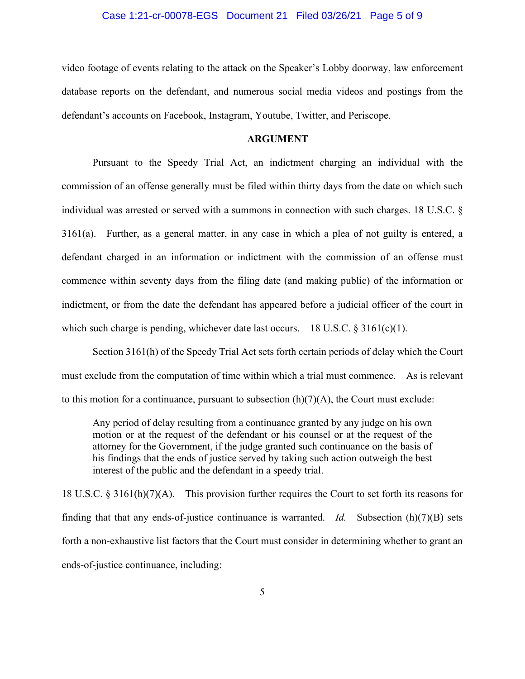#### Case 1:21-cr-00078-EGS Document 21 Filed 03/26/21 Page 5 of 9

video footage of events relating to the attack on the Speaker's Lobby doorway, law enforcement database reports on the defendant, and numerous social media videos and postings from the defendant's accounts on Facebook, Instagram, Youtube, Twitter, and Periscope.

#### **ARGUMENT**

Pursuant to the Speedy Trial Act, an indictment charging an individual with the commission of an offense generally must be filed within thirty days from the date on which such individual was arrested or served with a summons in connection with such charges. 18 U.S.C. § 3161(a). Further, as a general matter, in any case in which a plea of not guilty is entered, a defendant charged in an information or indictment with the commission of an offense must commence within seventy days from the filing date (and making public) of the information or indictment, or from the date the defendant has appeared before a judicial officer of the court in which such charge is pending, whichever date last occurs. 18 U.S.C.  $\S 3161(c)(1)$ .

Section 3161(h) of the Speedy Trial Act sets forth certain periods of delay which the Court must exclude from the computation of time within which a trial must commence. As is relevant to this motion for a continuance, pursuant to subsection  $(h)(7)(A)$ , the Court must exclude:

Any period of delay resulting from a continuance granted by any judge on his own motion or at the request of the defendant or his counsel or at the request of the attorney for the Government, if the judge granted such continuance on the basis of his findings that the ends of justice served by taking such action outweigh the best interest of the public and the defendant in a speedy trial.

18 U.S.C. § 3161(h)(7)(A). This provision further requires the Court to set forth its reasons for finding that that any ends-of-justice continuance is warranted. *Id.* Subsection (h)(7)(B) sets forth a non-exhaustive list factors that the Court must consider in determining whether to grant an ends-of-justice continuance, including: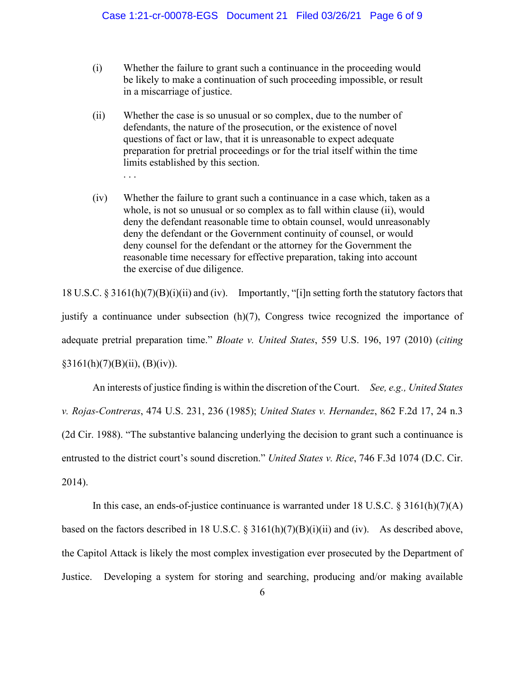- (i) Whether the failure to grant such a continuance in the proceeding would be likely to make a continuation of such proceeding impossible, or result in a miscarriage of justice.
- (ii) Whether the case is so unusual or so complex, due to the number of defendants, the nature of the prosecution, or the existence of novel questions of fact or law, that it is unreasonable to expect adequate preparation for pretrial proceedings or for the trial itself within the time limits established by this section. . . .
- (iv) Whether the failure to grant such a continuance in a case which, taken as a whole, is not so unusual or so complex as to fall within clause (ii), would deny the defendant reasonable time to obtain counsel, would unreasonably deny the defendant or the Government continuity of counsel, or would deny counsel for the defendant or the attorney for the Government the reasonable time necessary for effective preparation, taking into account the exercise of due diligence.

18 U.S.C. § 3161(h)(7)(B)(i)(ii) and (iv). Importantly, "[i]n setting forth the statutory factors that justify a continuance under subsection (h)(7), Congress twice recognized the importance of adequate pretrial preparation time." *Bloate v. United States*, 559 U.S. 196, 197 (2010) (*citing*  $§3161(h)(7)(B)(ii), (B)(iv)).$ 

An interests of justice finding is within the discretion of the Court. *See, e.g., United States v. Rojas-Contreras*, 474 U.S. 231, 236 (1985); *United States v. Hernandez*, 862 F.2d 17, 24 n.3 (2d Cir. 1988). "The substantive balancing underlying the decision to grant such a continuance is entrusted to the district court's sound discretion." *United States v. Rice*, 746 F.3d 1074 (D.C. Cir. 2014).

In this case, an ends-of-justice continuance is warranted under 18 U.S.C.  $\S 3161(h)(7)(A)$ based on the factors described in 18 U.S.C. § 3161(h)(7)(B)(i)(ii) and (iv). As described above, the Capitol Attack is likely the most complex investigation ever prosecuted by the Department of Justice. Developing a system for storing and searching, producing and/or making available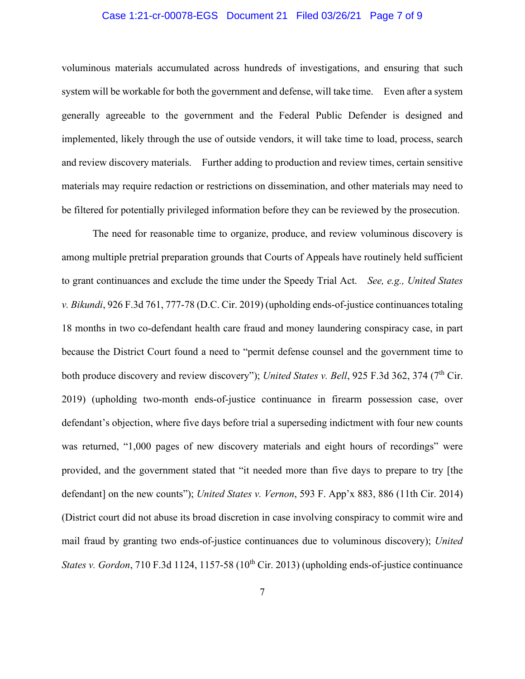### Case 1:21-cr-00078-EGS Document 21 Filed 03/26/21 Page 7 of 9

voluminous materials accumulated across hundreds of investigations, and ensuring that such system will be workable for both the government and defense, will take time. Even after a system generally agreeable to the government and the Federal Public Defender is designed and implemented, likely through the use of outside vendors, it will take time to load, process, search and review discovery materials. Further adding to production and review times, certain sensitive materials may require redaction or restrictions on dissemination, and other materials may need to be filtered for potentially privileged information before they can be reviewed by the prosecution.

The need for reasonable time to organize, produce, and review voluminous discovery is among multiple pretrial preparation grounds that Courts of Appeals have routinely held sufficient to grant continuances and exclude the time under the Speedy Trial Act. *See, e.g., United States v. Bikundi*, 926 F.3d 761, 777-78 (D.C. Cir. 2019) (upholding ends-of-justice continuances totaling 18 months in two co-defendant health care fraud and money laundering conspiracy case, in part because the District Court found a need to "permit defense counsel and the government time to both produce discovery and review discovery"); *United States v. Bell*, 925 F.3d 362, 374 (7<sup>th</sup> Cir. 2019) (upholding two-month ends-of-justice continuance in firearm possession case, over defendant's objection, where five days before trial a superseding indictment with four new counts was returned, "1,000 pages of new discovery materials and eight hours of recordings" were provided, and the government stated that "it needed more than five days to prepare to try [the defendant] on the new counts"); *United States v. Vernon*, 593 F. App'x 883, 886 (11th Cir. 2014) (District court did not abuse its broad discretion in case involving conspiracy to commit wire and mail fraud by granting two ends-of-justice continuances due to voluminous discovery); *United States v. Gordon*, 710 F.3d 1124, 1157-58 (10<sup>th</sup> Cir. 2013) (upholding ends-of-justice continuance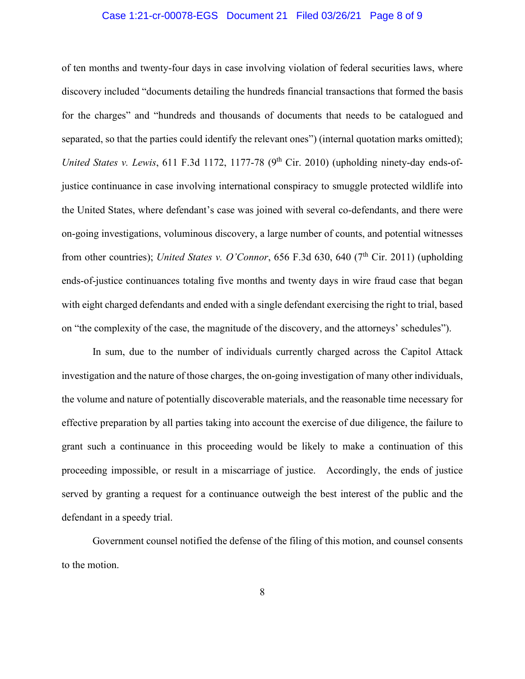### Case 1:21-cr-00078-EGS Document 21 Filed 03/26/21 Page 8 of 9

of ten months and twenty-four days in case involving violation of federal securities laws, where discovery included "documents detailing the hundreds financial transactions that formed the basis for the charges" and "hundreds and thousands of documents that needs to be catalogued and separated, so that the parties could identify the relevant ones") (internal quotation marks omitted); *United States v. Lewis*, 611 F.3d 1172, 1177-78 (9<sup>th</sup> Cir. 2010) (upholding ninety-day ends-ofjustice continuance in case involving international conspiracy to smuggle protected wildlife into the United States, where defendant's case was joined with several co-defendants, and there were on-going investigations, voluminous discovery, a large number of counts, and potential witnesses from other countries); *United States v. O'Connor*, 656 F.3d 630, 640 (7<sup>th</sup> Cir. 2011) (upholding ends-of-justice continuances totaling five months and twenty days in wire fraud case that began with eight charged defendants and ended with a single defendant exercising the right to trial, based on "the complexity of the case, the magnitude of the discovery, and the attorneys' schedules").

In sum, due to the number of individuals currently charged across the Capitol Attack investigation and the nature of those charges, the on-going investigation of many other individuals, the volume and nature of potentially discoverable materials, and the reasonable time necessary for effective preparation by all parties taking into account the exercise of due diligence, the failure to grant such a continuance in this proceeding would be likely to make a continuation of this proceeding impossible, or result in a miscarriage of justice. Accordingly, the ends of justice served by granting a request for a continuance outweigh the best interest of the public and the defendant in a speedy trial.

Government counsel notified the defense of the filing of this motion, and counsel consents to the motion.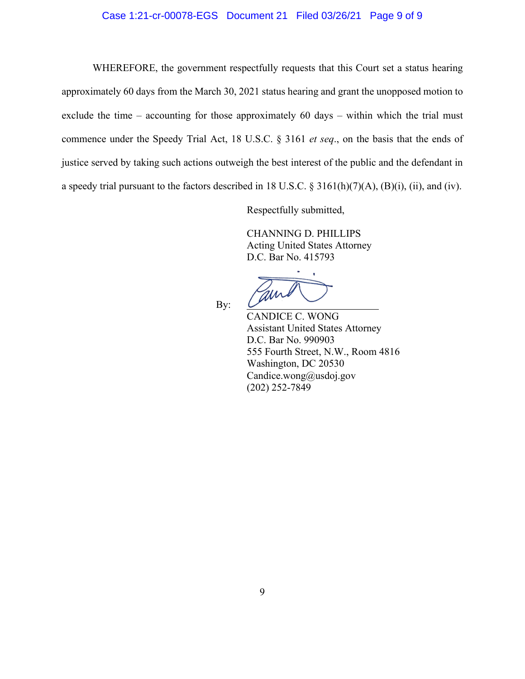### Case 1:21-cr-00078-EGS Document 21 Filed 03/26/21 Page 9 of 9

WHEREFORE, the government respectfully requests that this Court set a status hearing approximately 60 days from the March 30, 2021 status hearing and grant the unopposed motion to exclude the time – accounting for those approximately 60 days – within which the trial must commence under the Speedy Trial Act, 18 U.S.C. § 3161 *et seq*., on the basis that the ends of justice served by taking such actions outweigh the best interest of the public and the defendant in a speedy trial pursuant to the factors described in 18 U.S.C. § 3161(h)(7)(A), (B)(i), (ii), and (iv).

Respectfully submitted,

CHANNING D. PHILLIPS Acting United States Attorney D.C. Bar No. 415793

By:

CANDICE C. WONG Assistant United States Attorney D.C. Bar No. 990903 555 Fourth Street, N.W., Room 4816 Washington, DC 20530 Candice.wong@usdoj.gov (202) 252-7849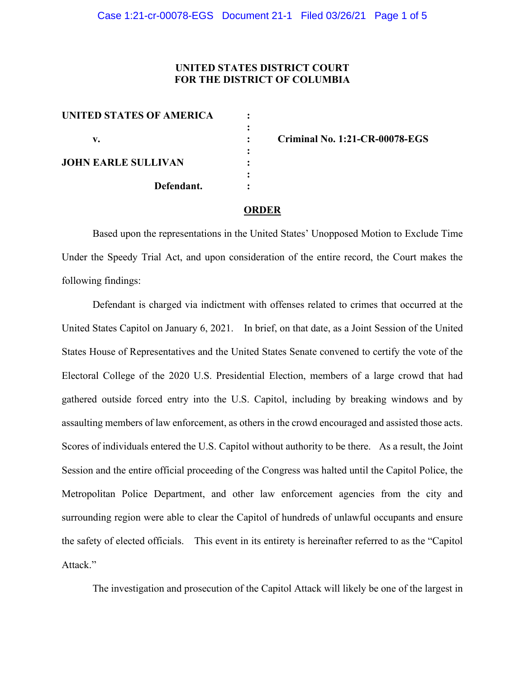# **UNITED STATES DISTRICT COURT FOR THE DISTRICT OF COLUMBIA**

| <b>UNITED STATES OF AMERICA</b> |  |
|---------------------------------|--|
|                                 |  |
| v.                              |  |
|                                 |  |
| <b>JOHN EARLE SULLIVAN</b>      |  |
|                                 |  |
| Defendant.                      |  |
|                                 |  |

**v. : Criminal No. 1:21-CR-00078-EGS** 

#### **ORDER**

Based upon the representations in the United States' Unopposed Motion to Exclude Time Under the Speedy Trial Act, and upon consideration of the entire record, the Court makes the following findings:

Defendant is charged via indictment with offenses related to crimes that occurred at the United States Capitol on January 6, 2021. In brief, on that date, as a Joint Session of the United States House of Representatives and the United States Senate convened to certify the vote of the Electoral College of the 2020 U.S. Presidential Election, members of a large crowd that had gathered outside forced entry into the U.S. Capitol, including by breaking windows and by assaulting members of law enforcement, as others in the crowd encouraged and assisted those acts. Scores of individuals entered the U.S. Capitol without authority to be there. As a result, the Joint Session and the entire official proceeding of the Congress was halted until the Capitol Police, the Metropolitan Police Department, and other law enforcement agencies from the city and surrounding region were able to clear the Capitol of hundreds of unlawful occupants and ensure the safety of elected officials. This event in its entirety is hereinafter referred to as the "Capitol Attack."

The investigation and prosecution of the Capitol Attack will likely be one of the largest in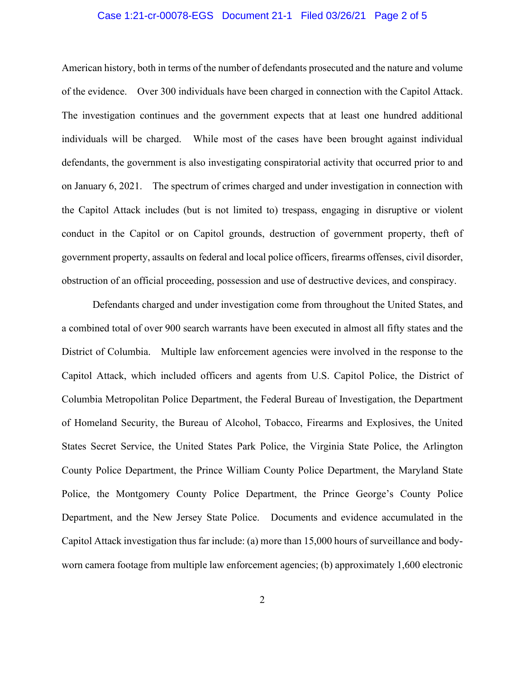### Case 1:21-cr-00078-EGS Document 21-1 Filed 03/26/21 Page 2 of 5

American history, both in terms of the number of defendants prosecuted and the nature and volume of the evidence. Over 300 individuals have been charged in connection with the Capitol Attack. The investigation continues and the government expects that at least one hundred additional individuals will be charged. While most of the cases have been brought against individual defendants, the government is also investigating conspiratorial activity that occurred prior to and on January 6, 2021. The spectrum of crimes charged and under investigation in connection with the Capitol Attack includes (but is not limited to) trespass, engaging in disruptive or violent conduct in the Capitol or on Capitol grounds, destruction of government property, theft of government property, assaults on federal and local police officers, firearms offenses, civil disorder, obstruction of an official proceeding, possession and use of destructive devices, and conspiracy.

Defendants charged and under investigation come from throughout the United States, and a combined total of over 900 search warrants have been executed in almost all fifty states and the District of Columbia. Multiple law enforcement agencies were involved in the response to the Capitol Attack, which included officers and agents from U.S. Capitol Police, the District of Columbia Metropolitan Police Department, the Federal Bureau of Investigation, the Department of Homeland Security, the Bureau of Alcohol, Tobacco, Firearms and Explosives, the United States Secret Service, the United States Park Police, the Virginia State Police, the Arlington County Police Department, the Prince William County Police Department, the Maryland State Police, the Montgomery County Police Department, the Prince George's County Police Department, and the New Jersey State Police. Documents and evidence accumulated in the Capitol Attack investigation thus far include: (a) more than 15,000 hours of surveillance and bodyworn camera footage from multiple law enforcement agencies; (b) approximately 1,600 electronic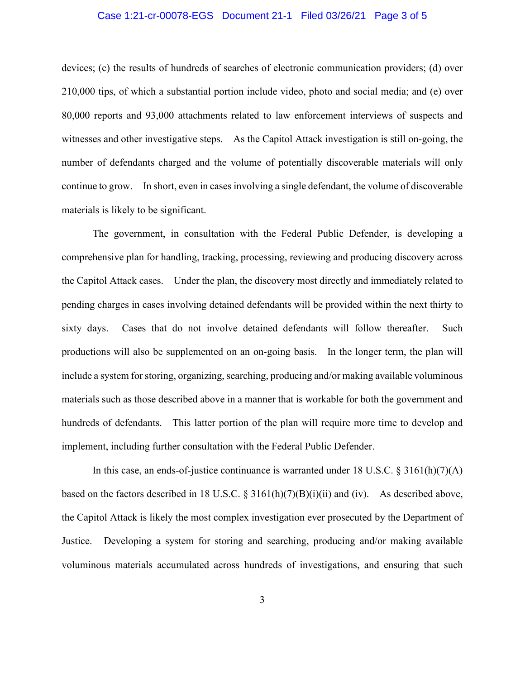### Case 1:21-cr-00078-EGS Document 21-1 Filed 03/26/21 Page 3 of 5

devices; (c) the results of hundreds of searches of electronic communication providers; (d) over 210,000 tips, of which a substantial portion include video, photo and social media; and (e) over 80,000 reports and 93,000 attachments related to law enforcement interviews of suspects and witnesses and other investigative steps. As the Capitol Attack investigation is still on-going, the number of defendants charged and the volume of potentially discoverable materials will only continue to grow. In short, even in cases involving a single defendant, the volume of discoverable materials is likely to be significant.

The government, in consultation with the Federal Public Defender, is developing a comprehensive plan for handling, tracking, processing, reviewing and producing discovery across the Capitol Attack cases. Under the plan, the discovery most directly and immediately related to pending charges in cases involving detained defendants will be provided within the next thirty to sixty days. Cases that do not involve detained defendants will follow thereafter. Such productions will also be supplemented on an on-going basis. In the longer term, the plan will include a system for storing, organizing, searching, producing and/or making available voluminous materials such as those described above in a manner that is workable for both the government and hundreds of defendants. This latter portion of the plan will require more time to develop and implement, including further consultation with the Federal Public Defender.

In this case, an ends-of-justice continuance is warranted under 18 U.S.C. § 3161(h)(7)(A) based on the factors described in 18 U.S.C.  $\S 3161(h)(7)(B)(i)(ii)$  and (iv). As described above, the Capitol Attack is likely the most complex investigation ever prosecuted by the Department of Justice. Developing a system for storing and searching, producing and/or making available voluminous materials accumulated across hundreds of investigations, and ensuring that such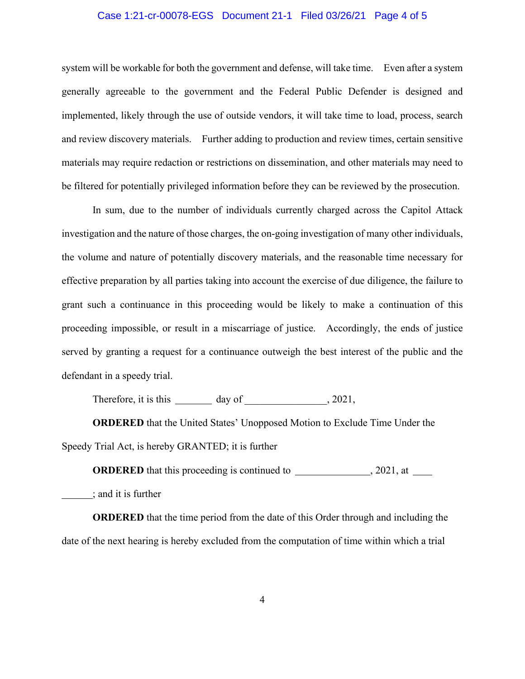### Case 1:21-cr-00078-EGS Document 21-1 Filed 03/26/21 Page 4 of 5

system will be workable for both the government and defense, will take time. Even after a system generally agreeable to the government and the Federal Public Defender is designed and implemented, likely through the use of outside vendors, it will take time to load, process, search and review discovery materials. Further adding to production and review times, certain sensitive materials may require redaction or restrictions on dissemination, and other materials may need to be filtered for potentially privileged information before they can be reviewed by the prosecution.

In sum, due to the number of individuals currently charged across the Capitol Attack investigation and the nature of those charges, the on-going investigation of many other individuals, the volume and nature of potentially discovery materials, and the reasonable time necessary for effective preparation by all parties taking into account the exercise of due diligence, the failure to grant such a continuance in this proceeding would be likely to make a continuation of this proceeding impossible, or result in a miscarriage of justice. Accordingly, the ends of justice served by granting a request for a continuance outweigh the best interest of the public and the defendant in a speedy trial.

Therefore, it is this  $\_\_\_\_\_\$  day of  $\_\_\_\_\_\_$ , 2021,

**ORDERED** that the United States' Unopposed Motion to Exclude Time Under the Speedy Trial Act, is hereby GRANTED; it is further

**ORDERED** that this proceeding is continued to , 2021, at

; and it is further

**ORDERED** that the time period from the date of this Order through and including the date of the next hearing is hereby excluded from the computation of time within which a trial